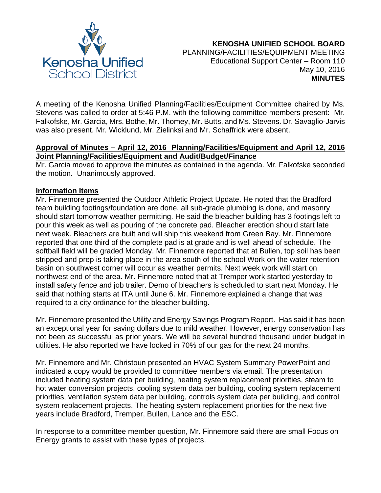

A meeting of the Kenosha Unified Planning/Facilities/Equipment Committee chaired by Ms. Stevens was called to order at 5:46 P.M. with the following committee members present: Mr. Falkofske, Mr. Garcia, Mrs. Bothe, Mr. Thomey, Mr. Butts, and Ms. Stevens. Dr. Savaglio-Jarvis was also present. Mr. Wicklund, Mr. Zielinksi and Mr. Schaffrick were absent.

#### **Approval of Minutes – April 12, 2016 Planning/Facilities/Equipment and April 12, 2016 Joint Planning/Facilities/Equipment and Audit/Budget/Finance**

Mr. Garcia moved to approve the minutes as contained in the agenda. Mr. Falkofske seconded the motion. Unanimously approved.

#### **Information Items**

Mr. Finnemore presented the Outdoor Athletic Project Update. He noted that the Bradford team building footings/foundation are done, all sub-grade plumbing is done, and masonry should start tomorrow weather permitting. He said the bleacher building has 3 footings left to pour this week as well as pouring of the concrete pad. Bleacher erection should start late next week. Bleachers are built and will ship this weekend from Green Bay. Mr. Finnemore reported that one third of the complete pad is at grade and is well ahead of schedule. The softball field will be graded Monday. Mr. Finnemore reported that at Bullen, top soil has been stripped and prep is taking place in the area south of the school Work on the water retention basin on southwest corner will occur as weather permits. Next week work will start on northwest end of the area. Mr. Finnemore noted that at Tremper work started yesterday to install safety fence and job trailer. Demo of bleachers is scheduled to start next Monday. He said that nothing starts at ITA until June 6. Mr. Finnemore explained a change that was required to a city ordinance for the bleacher building.

Mr. Finnemore presented the Utility and Energy Savings Program Report. Has said it has been an exceptional year for saving dollars due to mild weather. However, energy conservation has not been as successful as prior years. We will be several hundred thousand under budget in utilities. He also reported we have locked in 70% of our gas for the next 24 months.

Mr. Finnemore and Mr. Christoun presented an HVAC System Summary PowerPoint and indicated a copy would be provided to committee members via email. The presentation included heating system data per building, heating system replacement priorities, steam to hot water conversion projects, cooling system data per building, cooling system replacement priorities, ventilation system data per building, controls system data per building, and control system replacement projects. The heating system replacement priorities for the next five years include Bradford, Tremper, Bullen, Lance and the ESC.

In response to a committee member question, Mr. Finnemore said there are small Focus on Energy grants to assist with these types of projects.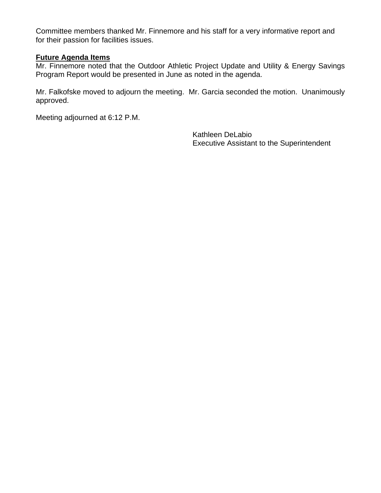Committee members thanked Mr. Finnemore and his staff for a very informative report and for their passion for facilities issues.

#### **Future Agenda Items**

Mr. Finnemore noted that the Outdoor Athletic Project Update and Utility & Energy Savings Program Report would be presented in June as noted in the agenda.

Mr. Falkofske moved to adjourn the meeting. Mr. Garcia seconded the motion. Unanimously approved.

Meeting adjourned at 6:12 P.M.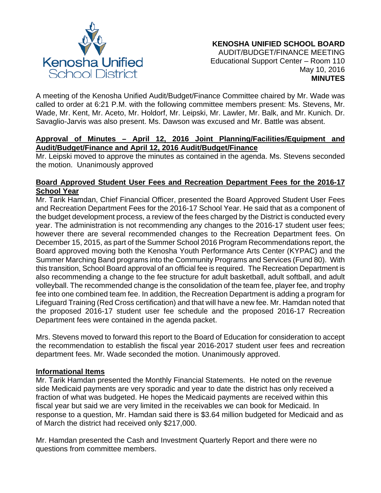

A meeting of the Kenosha Unified Audit/Budget/Finance Committee chaired by Mr. Wade was called to order at 6:21 P.M. with the following committee members present: Ms. Stevens, Mr. Wade, Mr. Kent, Mr. Aceto, Mr. Holdorf, Mr. Leipski, Mr. Lawler, Mr. Balk, and Mr. Kunich. Dr. Savaglio-Jarvis was also present. Ms. Dawson was excused and Mr. Battle was absent.

### **Approval of Minutes – April 12, 2016 Joint Planning/Facilities/Equipment and Audit/Budget/Finance and April 12, 2016 Audit/Budget/Finance**

Mr. Leipski moved to approve the minutes as contained in the agenda. Ms. Stevens seconded the motion. Unanimously approved

# **Board Approved Student User Fees and Recreation Department Fees for the 2016-17 School Year**

Mr. Tarik Hamdan, Chief Financial Officer, presented the Board Approved Student User Fees and Recreation Department Fees for the 2016-17 School Year. He said that as a component of the budget development process, a review of the fees charged by the District is conducted every year. The administration is not recommending any changes to the 2016-17 student user fees; however there are several recommended changes to the Recreation Department fees. On December 15, 2015, as part of the Summer School 2016 Program Recommendations report, the Board approved moving both the Kenosha Youth Performance Arts Center (KYPAC) and the Summer Marching Band programs into the Community Programs and Services (Fund 80). With this transition, School Board approval of an official fee is required. The Recreation Department is also recommending a change to the fee structure for adult basketball, adult softball, and adult volleyball. The recommended change is the consolidation of the team fee, player fee, and trophy fee into one combined team fee. In addition, the Recreation Department is adding a program for Lifeguard Training (Red Cross certification) and that will have a new fee. Mr. Hamdan noted that the proposed 2016-17 student user fee schedule and the proposed 2016-17 Recreation Department fees were contained in the agenda packet.

Mrs. Stevens moved to forward this report to the Board of Education for consideration to accept the recommendation to establish the fiscal year 2016-2017 student user fees and recreation department fees. Mr. Wade seconded the motion. Unanimously approved.

## **Informational Items**

Mr. Tarik Hamdan presented the Monthly Financial Statements. He noted on the revenue side Medicaid payments are very sporadic and year to date the district has only received a fraction of what was budgeted. He hopes the Medicaid payments are received within this fiscal year but said we are very limited in the receivables we can book for Medicaid. In response to a question, Mr. Hamdan said there is \$3.64 million budgeted for Medicaid and as of March the district had received only \$217,000.

Mr. Hamdan presented the Cash and Investment Quarterly Report and there were no questions from committee members.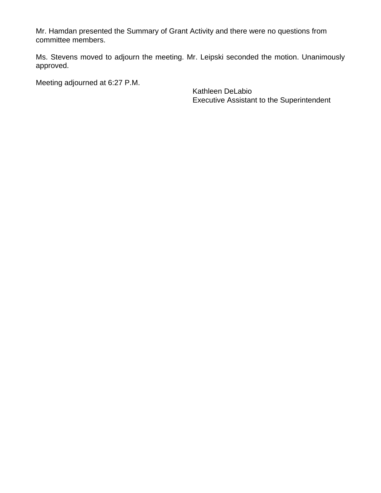Mr. Hamdan presented the Summary of Grant Activity and there were no questions from committee members.

Ms. Stevens moved to adjourn the meeting. Mr. Leipski seconded the motion. Unanimously approved.

Meeting adjourned at 6:27 P.M.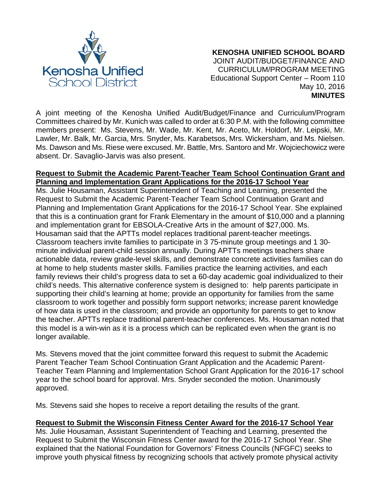

 **KENOSHA UNIFIED SCHOOL BOARD** JOINT AUDIT/BUDGET/FINANCE AND CURRICULUM/PROGRAM MEETING Educational Support Center – Room 110 May 10, 2016 **MINUTES**

A joint meeting of the Kenosha Unified Audit/Budget/Finance and Curriculum/Program Committees chaired by Mr. Kunich was called to order at 6:30 P.M. with the following committee members present: Ms. Stevens, Mr. Wade, Mr. Kent, Mr. Aceto, Mr. Holdorf, Mr. Leipski, Mr. Lawler, Mr. Balk, Mr. Garcia, Mrs. Snyder, Ms. Karabetsos, Mrs. Wickersham, and Ms. Nielsen. Ms. Dawson and Ms. Riese were excused. Mr. Battle, Mrs. Santoro and Mr. Wojciechowicz were absent. Dr. Savaglio-Jarvis was also present.

#### **Request to Submit the Academic Parent-Teacher Team School Continuation Grant and Planning and Implementation Grant Applications for the 2016-17 School Year**

Ms. Julie Housaman, Assistant Superintendent of Teaching and Learning, presented the Request to Submit the Academic Parent-Teacher Team School Continuation Grant and Planning and Implementation Grant Applications for the 2016-17 School Year. She explained that this is a continuation grant for Frank Elementary in the amount of \$10,000 and a planning and implementation grant for EBSOLA-Creative Arts in the amount of \$27,000. Ms. Housaman said that the APTTs model replaces traditional parent-teacher meetings. Classroom teachers invite families to participate in 3 75-minute group meetings and 1 30 minute individual parent-child session annually. During APTTs meetings teachers share actionable data, review grade-level skills, and demonstrate concrete activities families can do at home to help students master skills. Families practice the learning activities, and each family reviews their child's progress data to set a 60-day academic goal individualized to their child's needs. This alternative conference system is designed to: help parents participate in supporting their child's learning at home; provide an opportunity for families from the same classroom to work together and possibly form support networks; increase parent knowledge of how data is used in the classroom; and provide an opportunity for parents to get to know the teacher. APTTs replace traditional parent-teacher conferences. Ms. Housaman noted that this model is a win-win as it is a process which can be replicated even when the grant is no longer available.

Ms. Stevens moved that the joint committee forward this request to submit the Academic Parent Teacher Team School Continuation Grant Application and the Academic Parent-Teacher Team Planning and Implementation School Grant Application for the 2016-17 school year to the school board for approval. Mrs. Snyder seconded the motion. Unanimously approved.

Ms. Stevens said she hopes to receive a report detailing the results of the grant.

## **Request to Submit the Wisconsin Fitness Center Award for the 2016-17 School Year**

Ms. Julie Housaman, Assistant Superintendent of Teaching and Learning, presented the Request to Submit the Wisconsin Fitness Center award for the 2016-17 School Year. She explained that the National Foundation for Governors' Fitness Councils (NFGFC) seeks to improve youth physical fitness by recognizing schools that actively promote physical activity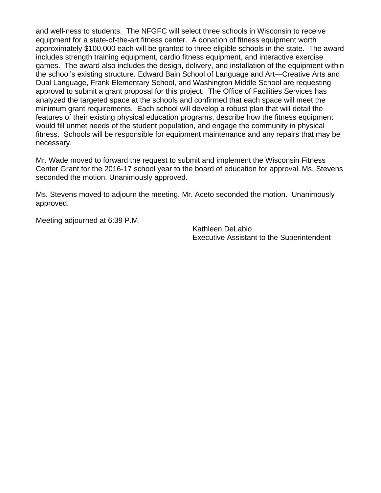and well-ness to students. The NFGFC will select three schools in Wisconsin to receive equipment for a state-of-the-art fitness center. A donation of fitness equipment worth approximately \$100,000 each will be granted to three eligible schools in the state. The award includes strength training equipment, cardio fitness equipment, and interactive exercise games. The award also includes the design, delivery, and installation of the equipment within the school's existing structure. Edward Bain School of Language and Art—Creative Arts and Dual Language, Frank Elementary School, and Washington Middle School are requesting approval to submit a grant proposal for this project. The Office of Facilities Services has analyzed the targeted space at the schools and confirmed that each space will meet the minimum grant requirements. Each school will develop a robust plan that will detail the features of their existing physical education programs, describe how the fitness equipment would fill unmet needs of the student population, and engage the community in physical fitness. Schools will be responsible for equipment maintenance and any repairs that may be necessary.

Mr. Wade moved to forward the request to submit and implement the Wisconsin Fitness Center Grant for the 2016-17 school year to the board of education for approval. Ms. Stevens seconded the motion. Unanimously approved.

Ms. Stevens moved to adjourn the meeting. Mr. Aceto seconded the motion. Unanimously approved.

Meeting adjourned at 6:39 P.M.